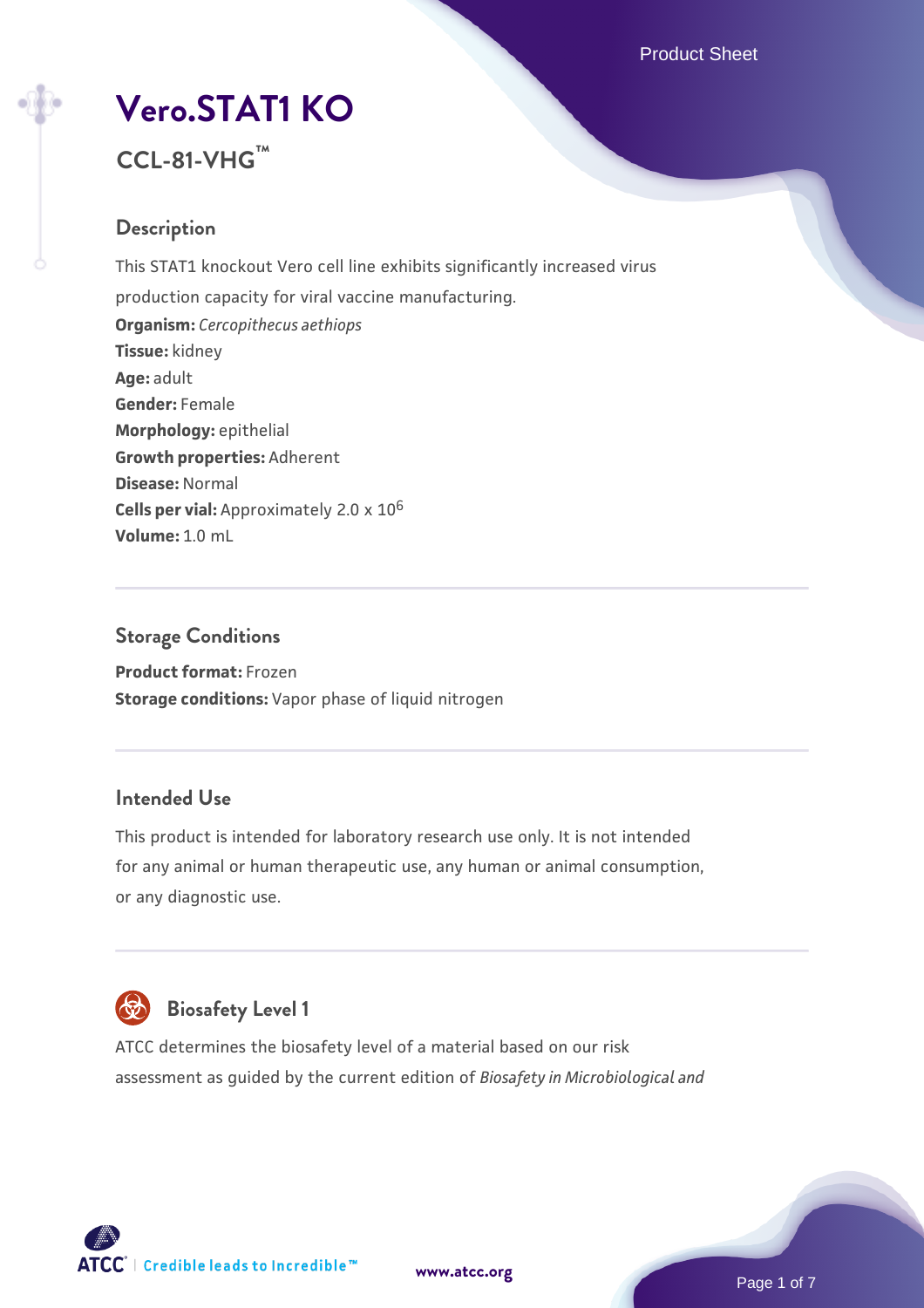Product Sheet

# **[Vero.STAT1 KO](https://www.atcc.org/products/ccl-81-vhg)**



# **Description**

This STAT1 knockout Vero cell line exhibits significantly increased virus production capacity for viral vaccine manufacturing. **Organism:** *Cercopithecus aethiops* **Tissue:** kidney **Age:** adult **Gender:** Female **Morphology:** epithelial **Growth properties:** Adherent **Disease:** Normal **Cells per vial:** Approximately 2.0 x 10<sup>6</sup> **Volume:** 1.0 mL

**Storage Conditions Product format:** Frozen **Storage conditions:** Vapor phase of liquid nitrogen

# **Intended Use**

This product is intended for laboratory research use only. It is not intended for any animal or human therapeutic use, any human or animal consumption, or any diagnostic use.



# **Biosafety Level 1**

ATCC determines the biosafety level of a material based on our risk assessment as guided by the current edition of *Biosafety in Microbiological and*

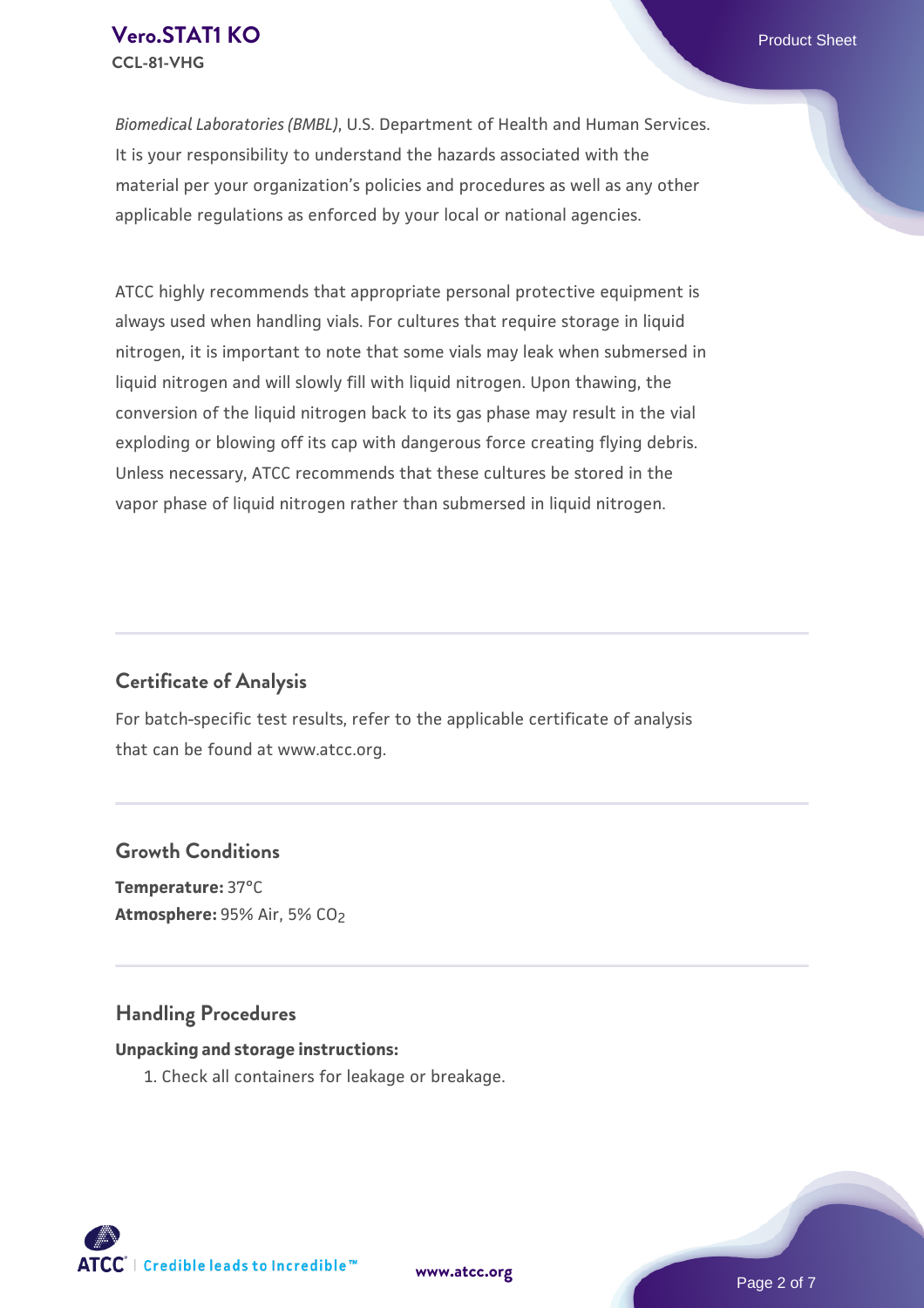## **[Vero.STAT1 KO](https://www.atcc.org/products/ccl-81-vhg)** Product Sheet **CCL-81-VHG**

*Biomedical Laboratories (BMBL)*, U.S. Department of Health and Human Services. It is your responsibility to understand the hazards associated with the material per your organization's policies and procedures as well as any other applicable regulations as enforced by your local or national agencies.

ATCC highly recommends that appropriate personal protective equipment is always used when handling vials. For cultures that require storage in liquid nitrogen, it is important to note that some vials may leak when submersed in liquid nitrogen and will slowly fill with liquid nitrogen. Upon thawing, the conversion of the liquid nitrogen back to its gas phase may result in the vial exploding or blowing off its cap with dangerous force creating flying debris. Unless necessary, ATCC recommends that these cultures be stored in the vapor phase of liquid nitrogen rather than submersed in liquid nitrogen.

# **Certificate of Analysis**

For batch-specific test results, refer to the applicable certificate of analysis that can be found at www.atcc.org.

## **Growth Conditions**

**Temperature:** 37°C **Atmosphere:** 95% Air, 5% CO2

# **Handling Procedures**

#### **Unpacking and storage instructions:**

1. Check all containers for leakage or breakage.

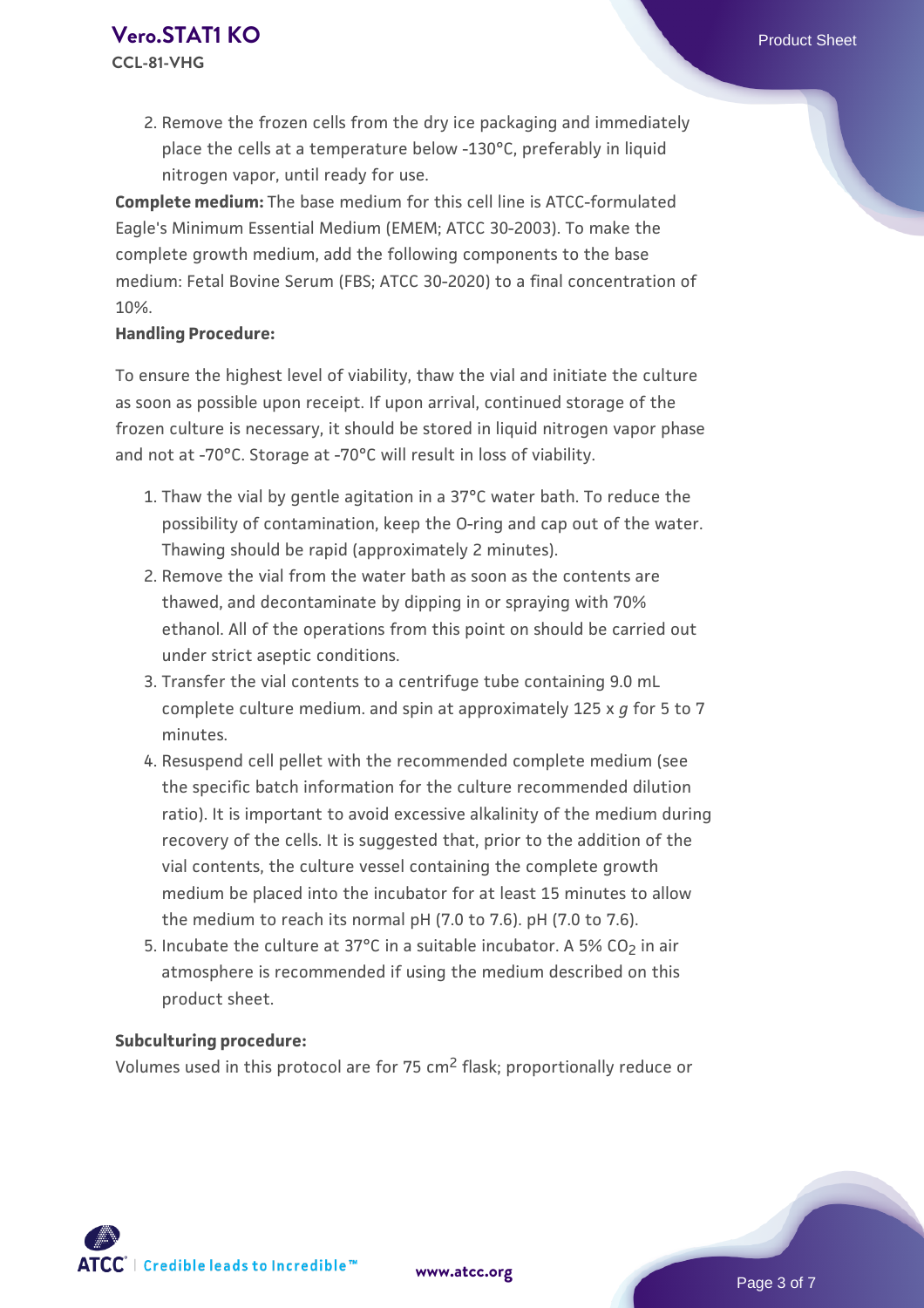2. Remove the frozen cells from the dry ice packaging and immediately place the cells at a temperature below -130°C, preferably in liquid nitrogen vapor, until ready for use.

**Complete medium:** The base medium for this cell line is ATCC-formulated Eagle's Minimum Essential Medium (EMEM; ATCC 30-2003). To make the complete growth medium, add the following components to the base medium: Fetal Bovine Serum (FBS; ATCC 30-2020) to a final concentration of 10%.

#### **Handling Procedure:**

To ensure the highest level of viability, thaw the vial and initiate the culture as soon as possible upon receipt. If upon arrival, continued storage of the frozen culture is necessary, it should be stored in liquid nitrogen vapor phase and not at -70°C. Storage at -70°C will result in loss of viability.

- 1. Thaw the vial by gentle agitation in a 37°C water bath. To reduce the possibility of contamination, keep the O-ring and cap out of the water. Thawing should be rapid (approximately 2 minutes).
- 2. Remove the vial from the water bath as soon as the contents are thawed, and decontaminate by dipping in or spraying with 70% ethanol. All of the operations from this point on should be carried out under strict aseptic conditions.
- 3. Transfer the vial contents to a centrifuge tube containing 9.0 mL complete culture medium. and spin at approximately 125 x *g* for 5 to 7 minutes.
- 4. Resuspend cell pellet with the recommended complete medium (see the specific batch information for the culture recommended dilution ratio). It is important to avoid excessive alkalinity of the medium during recovery of the cells. It is suggested that, prior to the addition of the vial contents, the culture vessel containing the complete growth medium be placed into the incubator for at least 15 minutes to allow the medium to reach its normal pH (7.0 to 7.6). pH (7.0 to 7.6).
- 5. Incubate the culture at 37°C in a suitable incubator. A 5% CO<sub>2</sub> in air atmosphere is recommended if using the medium described on this product sheet.

#### **Subculturing procedure:**

Volumes used in this protocol are for 75 cm2 flask; proportionally reduce or

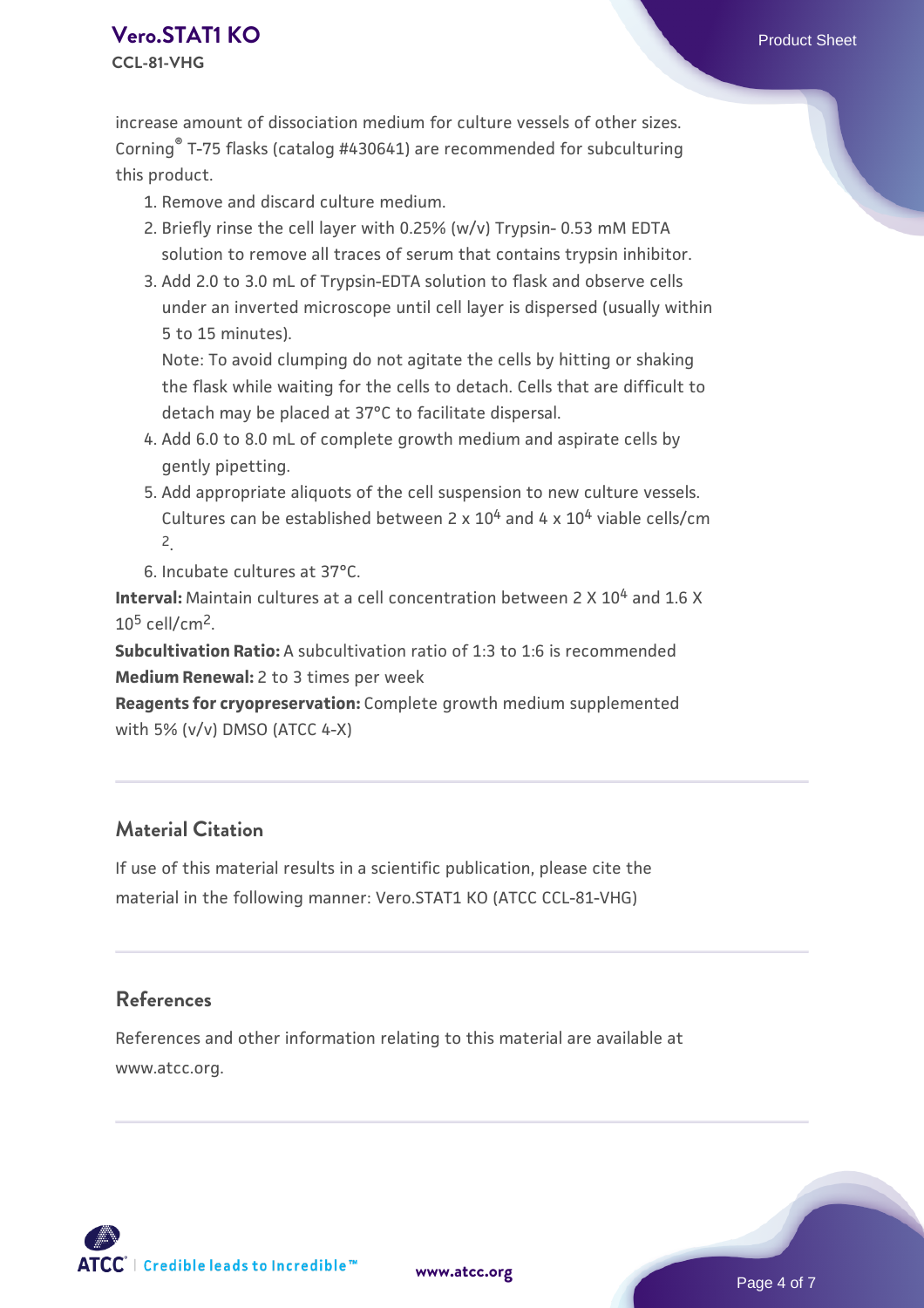## **[Vero.STAT1 KO](https://www.atcc.org/products/ccl-81-vhg)** Product Sheet **CCL-81-VHG**

increase amount of dissociation medium for culture vessels of other sizes. Corning® T-75 flasks (catalog #430641) are recommended for subculturing this product.

- 1. Remove and discard culture medium.
- 2. Briefly rinse the cell layer with 0.25% (w/v) Trypsin- 0.53 mM EDTA solution to remove all traces of serum that contains trypsin inhibitor.
- 3. Add 2.0 to 3.0 mL of Trypsin-EDTA solution to flask and observe cells under an inverted microscope until cell layer is dispersed (usually within 5 to 15 minutes).

Note: To avoid clumping do not agitate the cells by hitting or shaking the flask while waiting for the cells to detach. Cells that are difficult to detach may be placed at 37°C to facilitate dispersal.

- Add 6.0 to 8.0 mL of complete growth medium and aspirate cells by 4. gently pipetting.
- 5. Add appropriate aliquots of the cell suspension to new culture vessels. Cultures can be established between 2 x  $10^4$  and 4 x  $10^4$  viable cells/cm 2.

6. Incubate cultures at 37°C.

**Interval:** Maintain cultures at a cell concentration between 2 X 10<sup>4</sup> and 1.6 X  $10<sup>5</sup>$  cell/cm<sup>2</sup>.

**Subcultivation Ratio:** A subcultivation ratio of 1:3 to 1:6 is recommended **Medium Renewal:** 2 to 3 times per week

**Reagents for cryopreservation:** Complete growth medium supplemented with 5% (v/v) DMSO (ATCC 4-X)

# **Material Citation**

If use of this material results in a scientific publication, please cite the material in the following manner: Vero.STAT1 KO (ATCC CCL-81-VHG)

### **References**

References and other information relating to this material are available at www.atcc.org.



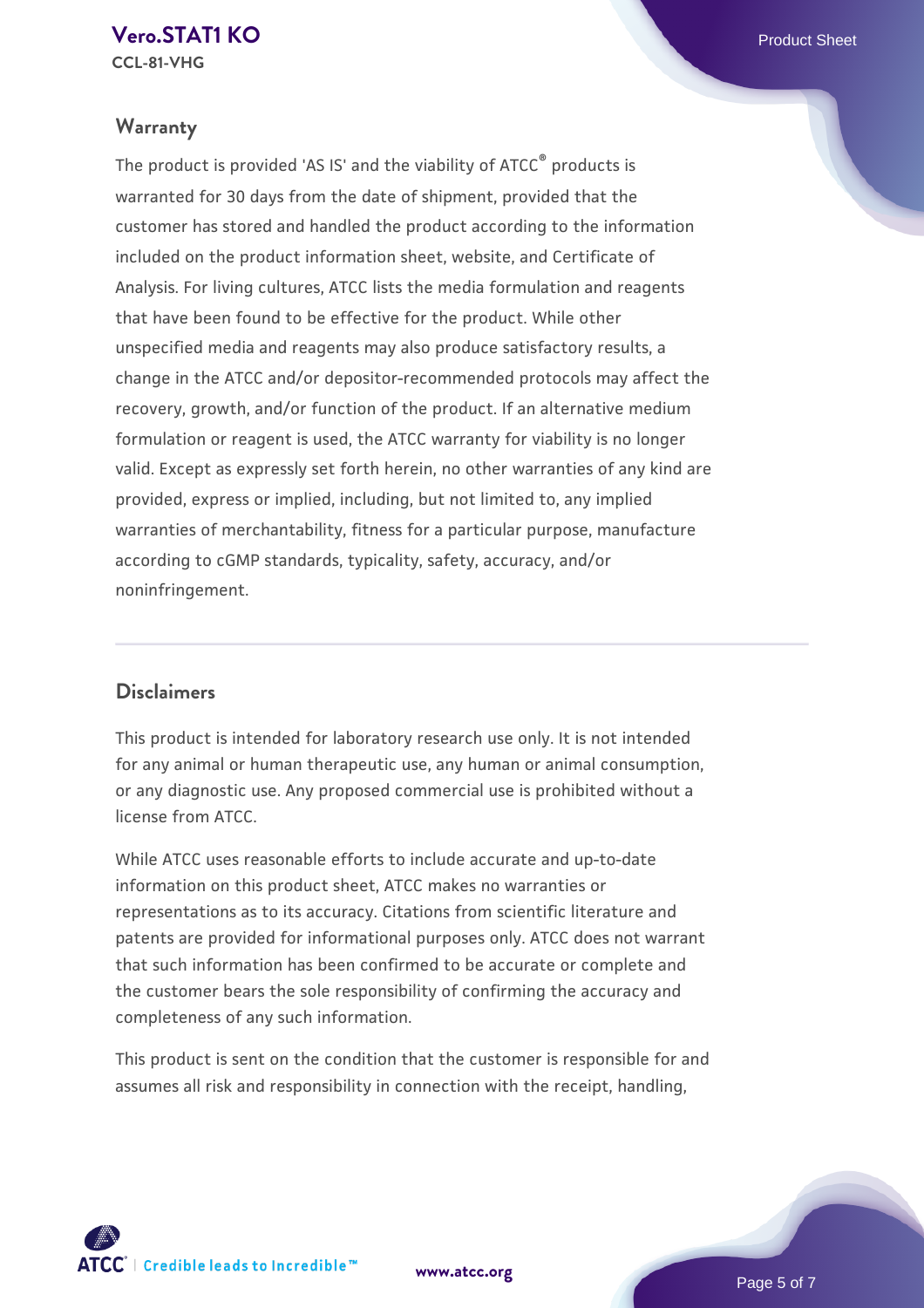# **Warranty**

The product is provided 'AS IS' and the viability of ATCC® products is warranted for 30 days from the date of shipment, provided that the customer has stored and handled the product according to the information included on the product information sheet, website, and Certificate of Analysis. For living cultures, ATCC lists the media formulation and reagents that have been found to be effective for the product. While other unspecified media and reagents may also produce satisfactory results, a change in the ATCC and/or depositor-recommended protocols may affect the recovery, growth, and/or function of the product. If an alternative medium formulation or reagent is used, the ATCC warranty for viability is no longer valid. Except as expressly set forth herein, no other warranties of any kind are provided, express or implied, including, but not limited to, any implied warranties of merchantability, fitness for a particular purpose, manufacture according to cGMP standards, typicality, safety, accuracy, and/or noninfringement.

# **Disclaimers**

This product is intended for laboratory research use only. It is not intended for any animal or human therapeutic use, any human or animal consumption, or any diagnostic use. Any proposed commercial use is prohibited without a license from ATCC.

While ATCC uses reasonable efforts to include accurate and up-to-date information on this product sheet, ATCC makes no warranties or representations as to its accuracy. Citations from scientific literature and patents are provided for informational purposes only. ATCC does not warrant that such information has been confirmed to be accurate or complete and the customer bears the sole responsibility of confirming the accuracy and completeness of any such information.

This product is sent on the condition that the customer is responsible for and assumes all risk and responsibility in connection with the receipt, handling,



**[www.atcc.org](http://www.atcc.org)**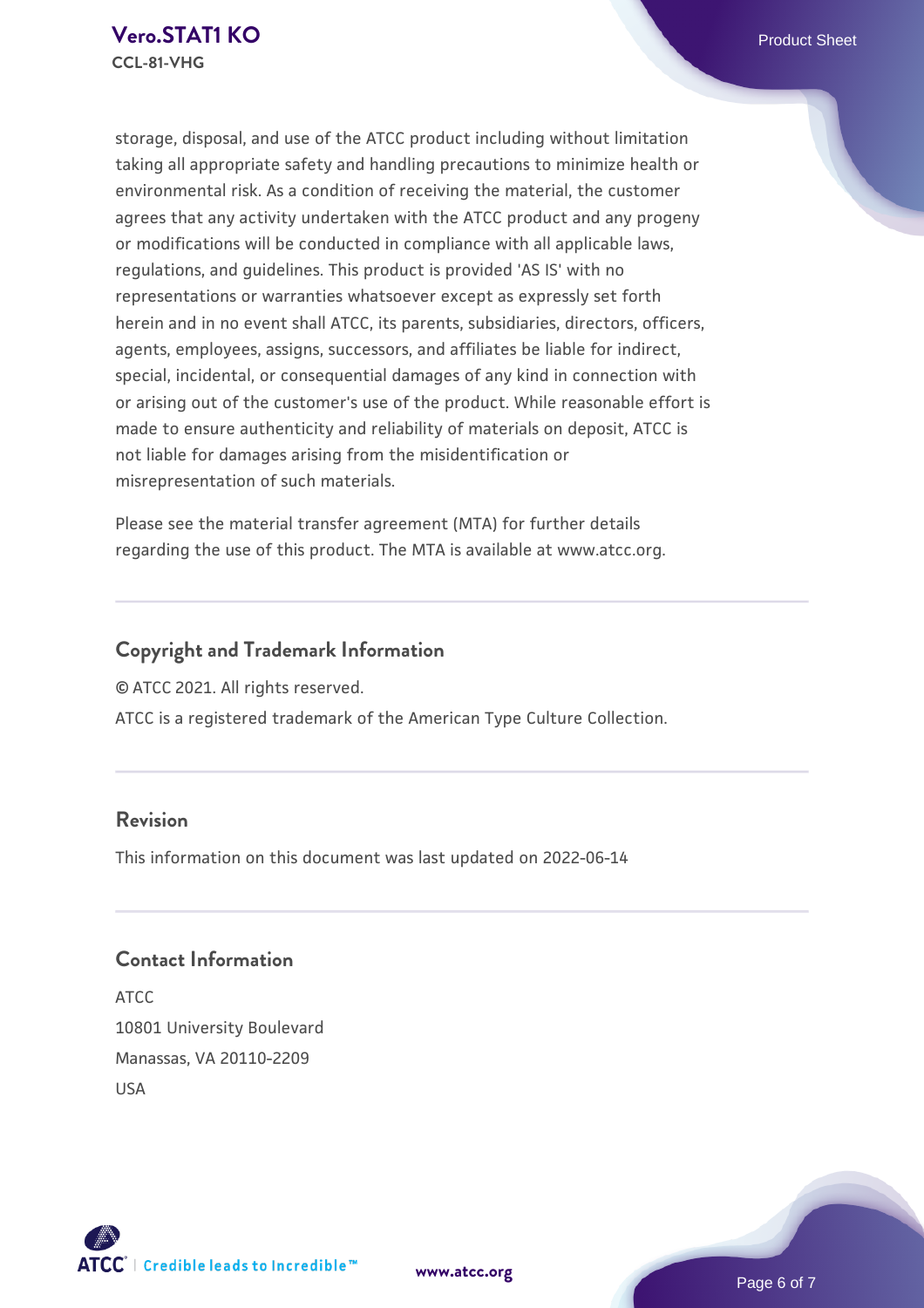storage, disposal, and use of the ATCC product including without limitation taking all appropriate safety and handling precautions to minimize health or environmental risk. As a condition of receiving the material, the customer agrees that any activity undertaken with the ATCC product and any progeny or modifications will be conducted in compliance with all applicable laws, regulations, and guidelines. This product is provided 'AS IS' with no representations or warranties whatsoever except as expressly set forth herein and in no event shall ATCC, its parents, subsidiaries, directors, officers, agents, employees, assigns, successors, and affiliates be liable for indirect, special, incidental, or consequential damages of any kind in connection with or arising out of the customer's use of the product. While reasonable effort is made to ensure authenticity and reliability of materials on deposit, ATCC is not liable for damages arising from the misidentification or misrepresentation of such materials.

Please see the material transfer agreement (MTA) for further details regarding the use of this product. The MTA is available at www.atcc.org.

# **Copyright and Trademark Information**

© ATCC 2021. All rights reserved.

ATCC is a registered trademark of the American Type Culture Collection.

## **Revision**

This information on this document was last updated on 2022-06-14

# **Contact Information**

ATCC 10801 University Boulevard Manassas, VA 20110-2209 USA